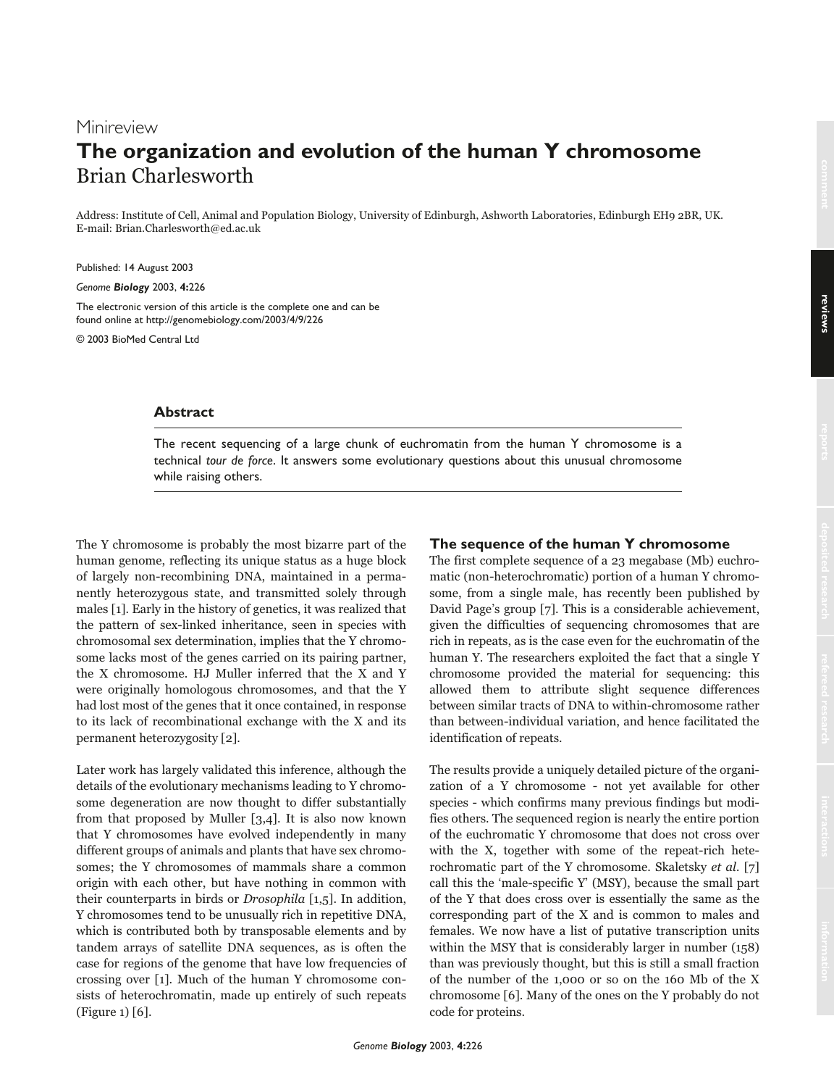# Minireview **The organization and evolution of the human Y chromosome** Brian Charlesworth

Address: Institute of Cell, Animal and Population Biology, University of Edinburgh, Ashworth Laboratories, Edinburgh EH9 2BR, UK. E-mail: Brian.Charlesworth@ed.ac.uk

Published: 14 August 2003

*Genome Biology* 2003, **4:**226

The electronic version of this article is the complete one and can be found online at http://genomebiology.com/2003/4/9/226

© 2003 BioMed Central Ltd

# **Abstract**

The recent sequencing of a large chunk of euchromatin from the human Y chromosome is a technical *tour de force*. It answers some evolutionary questions about this unusual chromosome while raising others.

The Y chromosome is probably the most bizarre part of the human genome, reflecting its unique status as a huge block of largely non-recombining DNA, maintained in a permanently heterozygous state, and transmitted solely through males [1]. Early in the history of genetics, it was realized that the pattern of sex-linked inheritance, seen in species with chromosomal sex determination, implies that the Y chromosome lacks most of the genes carried on its pairing partner, the X chromosome. HJ Muller inferred that the X and Y were originally homologous chromosomes, and that the Y had lost most of the genes that it once contained, in response to its lack of recombinational exchange with the X and its permanent heterozygosity [2].

Later work has largely validated this inference, although the details of the evolutionary mechanisms leading to Y chromosome degeneration are now thought to differ substantially from that proposed by Muller [3,4]. It is also now known that Y chromosomes have evolved independently in many different groups of animals and plants that have sex chromosomes; the Y chromosomes of mammals share a common origin with each other, but have nothing in common with their counterparts in birds or Drosophila [1,5]. In addition, Y chromosomes tend to be unusually rich in repetitive DNA, which is contributed both by transposable elements and by tandem arrays of satellite DNA sequences, as is often the case for regions of the genome that have low frequencies of crossing over [1]. Much of the human Y chromosome consists of heterochromatin, made up entirely of such repeats (Figure 1) [6].

## **The sequence of the human Y chromosome**

The first complete sequence of a 23 megabase (Mb) euchromatic (non-heterochromatic) portion of a human Y chromosome, from a single male, has recently been published by David Page's group [7]. This is a considerable achievement, given the difficulties of sequencing chromosomes that are rich in repeats, as is the case even for the euchromatin of the human Y. The researchers exploited the fact that a single Y chromosome provided the material for sequencing: this allowed them to attribute slight sequence differences between similar tracts of DNA to within-chromosome rather than between-individual variation, and hence facilitated the identification of repeats.

The results provide a uniquely detailed picture of the organization of a Y chromosome - not yet available for other species - which confirms many previous findings but modifies others. The sequenced region is nearly the entire portion of the euchromatic Y chromosome that does not cross over with the X, together with some of the repeat-rich heterochromatic part of the Y chromosome. Skaletsky et al. [7] call this the 'male-specific Y' (MSY), because the small part of the Y that does cross over is essentially the same as the corresponding part of the X and is common to males and females. We now have a list of putative transcription units within the MSY that is considerably larger in number (158) than was previously thought, but this is still a small fraction of the number of the 1,000 or so on the 160 Mb of the X chromosome [6]. Many of the ones on the Y probably do not code for proteins.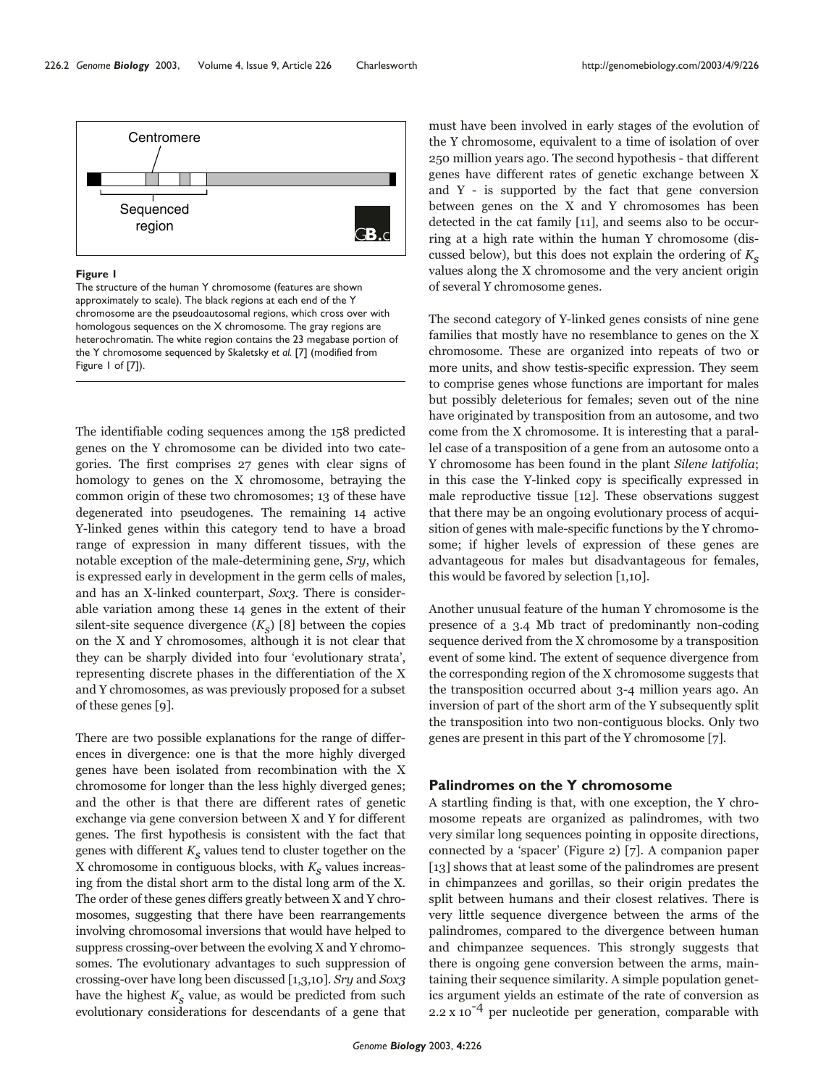

#### **Figure 1**

The structure of the human Y chromosome (features are shown approximately to scale). The black regions at each end of the Y chromosome are the pseudoautosomal regions, which cross over with homologous sequences on the X chromosome. The gray regions are heterochromatin. The white region contains the 23 megabase portion of the Y chromosome sequenced by Skaletsky *et al.* [7] (modified from Figure 1 of [7]).

The identifiable coding sequences among the 158 predicted genes on the Y chromosome can be divided into two categories. The first comprises 27 genes with clear signs of homology to genes on the X chromosome, betraying the common origin of these two chromosomes; 13 of these have degenerated into pseudogenes. The remaining 14 active Y-linked genes within this category tend to have a broad range of expression in many different tissues, with the notable exception of the male-determining gene, Sry, which is expressed early in development in the germ cells of males, and has an X-linked counterpart, Sox3. There is considerable variation among these 14 genes in the extent of their silent-site sequence divergence  $(K_{\rm c})$  [8] between the copies on the X and Y chromosomes, although it is not clear that they can be sharply divided into four 'evolutionary strata', representing discrete phases in the differentiation of the X and Y chromosomes, as was previously proposed for a subset of these genes [9].

There are two possible explanations for the range of differences in divergence: one is that the more highly diverged genes have been isolated from recombination with the X chromosome for longer than the less highly diverged genes; and the other is that there are different rates of genetic exchange via gene conversion between X and Y for different genes. The first hypothesis is consistent with the fact that genes with different  $K<sub>c</sub>$  values tend to cluster together on the X chromosome in contiguous blocks, with  $K_s$  values increasing from the distal short arm to the distal long arm of the X. The order of these genes differs greatly between X and Y chromosomes, suggesting that there have been rearrangements involving chromosomal inversions that would have helped to suppress crossing-over between the evolving X and Y chromosomes. The evolutionary advantages to such suppression of crossing-over have long been discussed [1,3,10]. Sry and Sox3 have the highest  $K<sub>s</sub>$  value, as would be predicted from such evolutionary considerations for descendants of a gene that

must have been involved in early stages of the evolution of the Y chromosome, equivalent to a time of isolation of over 250 million years ago. The second hypothesis - that different genes have different rates of genetic exchange between X and Y - is supported by the fact that gene conversion between genes on the X and Y chromosomes has been detected in the cat family [11], and seems also to be occurring at a high rate within the human Y chromosome (discussed below), but this does not explain the ordering of  $K<sub>s</sub>$ values along the X chromosome and the very ancient origin of several Y chromosome genes.

The second category of Y-linked genes consists of nine gene families that mostly have no resemblance to genes on the X chromosome. These are organized into repeats of two or more units, and show testis-specific expression. They seem to comprise genes whose functions are important for males but possibly deleterious for females; seven out of the nine have originated by transposition from an autosome, and two come from the X chromosome. It is interesting that a parallel case of a transposition of a gene from an autosome onto a Y chromosome has been found in the plant Silene latifolia; in this case the Y-linked copy is specifically expressed in male reproductive tissue [12]. These observations suggest that there may be an ongoing evolutionary process of acquisition of genes with male-specific functions by the Y chromosome; if higher levels of expression of these genes are advantageous for males but disadvantageous for females, this would be favored by selection [1,10].

Another unusual feature of the human Y chromosome is the presence of a 3.4 Mb tract of predominantly non-coding sequence derived from the X chromosome by a transposition event of some kind. The extent of sequence divergence from the corresponding region of the X chromosome suggests that the transposition occurred about 3-4 million years ago. An inversion of part of the short arm of the Y subsequently split the transposition into two non-contiguous blocks. Only two genes are present in this part of the Y chromosome [7].

## **Palindromes on the Y chromosome**

A startling finding is that, with one exception, the Y chromosome repeats are organized as palindromes, with two very similar long sequences pointing in opposite directions, connected by a 'spacer' (Figure 2) [7]. A companion paper [13] shows that at least some of the palindromes are present in chimpanzees and gorillas, so their origin predates the split between humans and their closest relatives. There is very little sequence divergence between the arms of the palindromes, compared to the divergence between human and chimpanzee sequences. This strongly suggests that there is ongoing gene conversion between the arms, maintaining their sequence similarity. A simple population genetics argument yields an estimate of the rate of conversion as 2.2 x 10<sup>-4</sup> per nucleotide per generation, comparable with